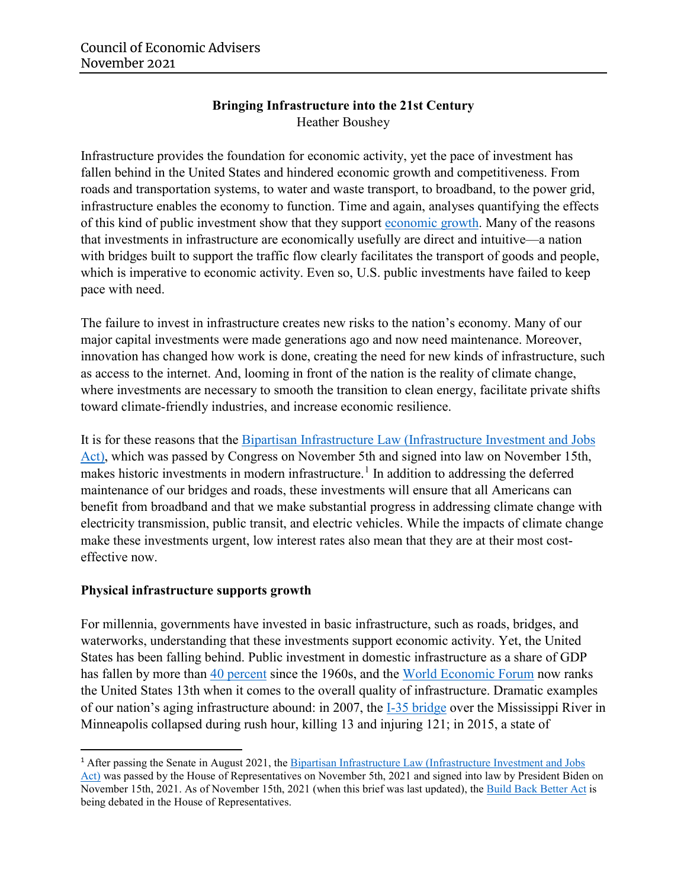## **Bringing Infrastructure into the 21st Century**  Heather Boushey

Infrastructure provides the foundation for economic activity, yet the pace of investment has fallen behind in the United States and hindered economic growth and competitiveness. From roads and transportation systems, to water and waste transport, to broadband, to the power grid, infrastructure enables the economy to function. Time and again, analyses quantifying the effects of this kind of public investment show that they support [economic growth.](https://onlinelibrary.wiley.com/doi/abs/10.1111/joes.12037) Many of the reasons that investments in infrastructure are economically usefully are direct and intuitive—a nation with bridges built to support the traffic flow clearly facilitates the transport of goods and people, which is imperative to economic activity. Even so, U.S. public investments have failed to keep pace with need.

The failure to invest in infrastructure creates new risks to the nation's economy. Many of our major capital investments were made generations ago and now need maintenance. Moreover, innovation has changed how work is done, creating the need for new kinds of infrastructure, such as access to the internet. And, looming in front of the nation is the reality of climate change, where investments are necessary to smooth the transition to clean energy, facilitate private shifts toward climate-friendly industries, and increase economic resilience.

It is for these reasons that the Bipartisan Infrastructure Law [\(Infrastructure Investment and Jobs](https://www.whitehouse.gov/briefing-room/statements-releases/2021/11/06/fact-sheet-the-bipartisan-infrastructure-deal/)  [Act\),](https://www.whitehouse.gov/briefing-room/statements-releases/2021/11/06/fact-sheet-the-bipartisan-infrastructure-deal/) which was passed by Congress on November 5th and signed into law on November 15th, makes historic investments in modern infrastructure.<sup>[1](#page-0-0)</sup> In addition to addressing the deferred maintenance of our bridges and roads, these investments will ensure that all Americans can benefit from broadband and that we make substantial progress in addressing climate change with electricity transmission, public transit, and electric vehicles. While the impacts of climate change make these investments urgent, low interest rates also mean that they are at their most costeffective now.

#### **Physical infrastructure supports growth**

For millennia, governments have invested in basic infrastructure, such as roads, bridges, and waterworks, understanding that these investments support economic activity. Yet, the United States has been falling behind. Public investment in domestic infrastructure as a share of GDP has fallen by more than [40 percent](https://fredblog.stlouisfed.org/2021/10/government-investment-on-the-decline/) since the 1960s, and the [World Economic Forum](https://www3.weforum.org/docs/WEF_TheGlobalCompetitivenessReport2019.pdf) now ranks the United States 13th when it comes to the overall quality of infrastructure. Dramatic examples of our nation's aging infrastructure abound: in 2007, the [I-35 bridge](https://www.usfa.fema.gov/downloads/pdf/publications/tr_166.pdf) over the Mississippi River in Minneapolis collapsed during rush hour, killing 13 and injuring 121; in 2015, a state of

<span id="page-0-0"></span> <sup>1</sup> After passing the Senate in August 2021, the [Bipartisan Infrastructure Law \(Infrastructure Investment and Jobs](https://www.whitehouse.gov/briefing-room/statements-releases/2021/11/06/fact-sheet-the-bipartisan-infrastructure-deal/)  [Act\)](https://www.whitehouse.gov/briefing-room/statements-releases/2021/11/06/fact-sheet-the-bipartisan-infrastructure-deal/) was passed by the House of Representatives on November 5th, 2021 and signed into law by President Biden on November 15th, 2021. As of November 15th, 2021 (when this brief was last updated), the [Build Back Better Act](https://www.whitehouse.gov/briefing-room/statements-releases/2021/10/28/president-biden-announces-the-build-back-better-framework/#:%7E:text=The%20Build%20Back%20Better%20framework%20is%20the%20largest,larger%20than%20any%20legislation%20Congress%20has%20ever%20passed.) is being debated in the House of Representatives.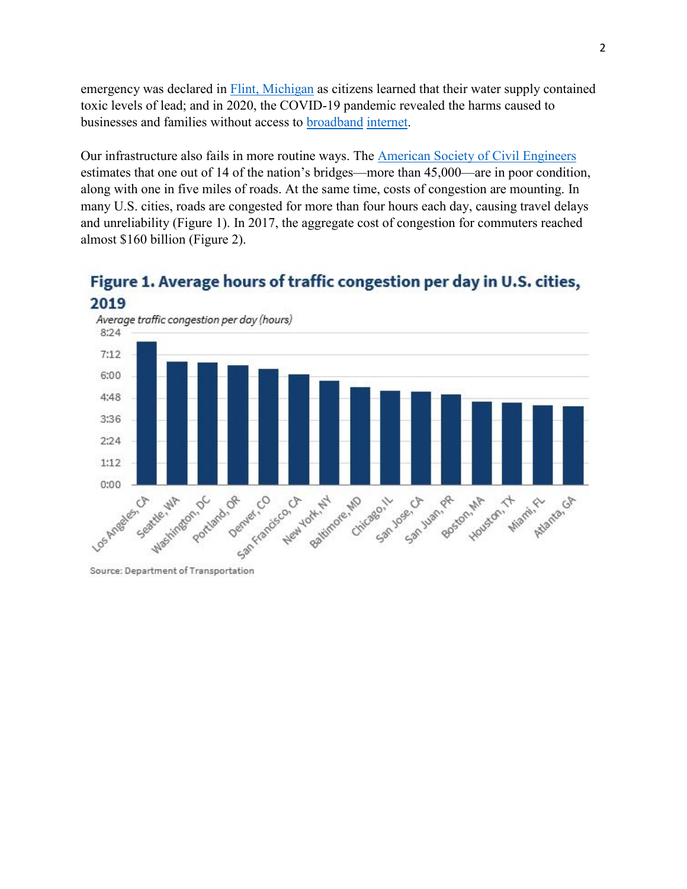emergency was declared in **Flint**, Michigan as citizens learned that their water supply contained toxic levels of lead; and in 2020, the COVID-19 pandemic revealed the harms caused to businesses and families without access to [broadband](https://www.brookings.edu/blog/the-avenue/2020/03/30/covid-19-proves-we-need-to-continue-upgrading-americas-broadband-infrastructure/) [internet.](https://www.weforum.org/agenda/2020/04/coronavirus-covid-19-pandemic-digital-divide-internet-data-broadband-mobbile/)

Our infrastructure also fails in more routine ways. The [American Society of Civil Engineers](https://infrastructurereportcard.org/) estimates that one out of 14 of the nation's bridges—more than 45,000—are in poor condition, along with one in five miles of roads. At the same time, costs of congestion are mounting. In many U.S. cities, roads are congested for more than four hours each day, causing travel delays and unreliability (Figure 1). In 2017, the aggregate cost of congestion for commuters reached almost \$160 billion (Figure 2).

# Figure 1. Average hours of traffic congestion per day in U.S. cities, 2019



Source: Department of Transportation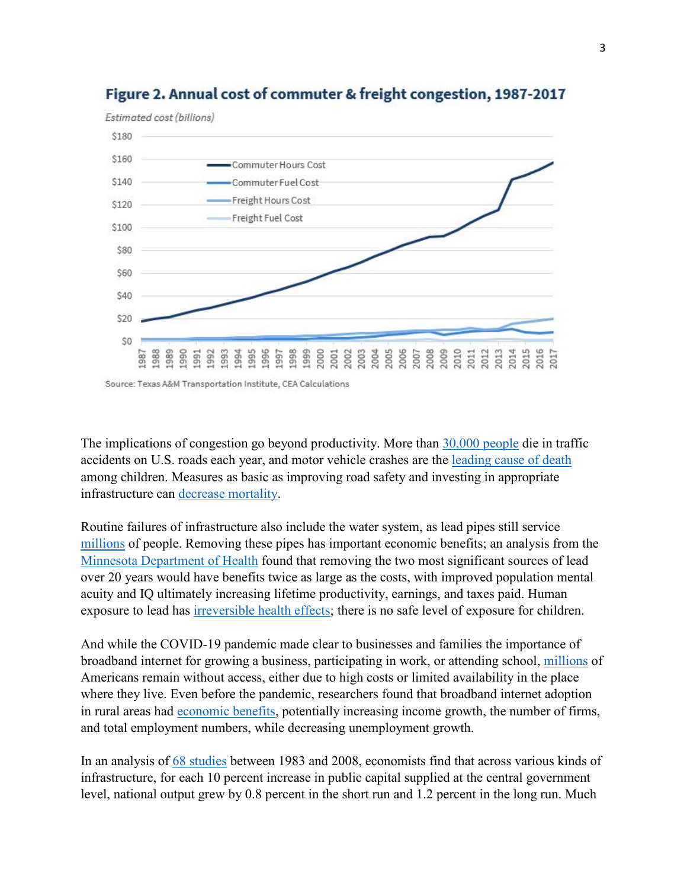



Source: Texas A&M Transportation Institute, CEA Calculations

The implications of congestion go beyond productivity. More than [30,000 people](https://crashstats.nhtsa.dot.gov/Api/Public/ViewPublication/813115) die in traffic accidents on U.S. roads each year, and motor vehicle crashes are the [leading cause of death](https://www.nejm.org/doi/full/10.1056/nejmsr1804754) among children. Measures as basic as improving road safety and investing in appropriate infrastructure can [decrease mortality.](https://link.springer.com/article/10.1007/s00068-015-0544-6)

Routine failures of infrastructure also include the water system, as lead pipes still service [millions](https://www.awwa.org/Resources-Tools/Resource-Topics/Contaminants-of-Concern/Lead) of people. Removing these pipes has important economic benefits; an analysis from the [Minnesota Department of Health](https://www.health.state.mn.us/communities/environment/water/docs/leadreport.pdf) found that removing the two most significant sources of lead over 20 years would have benefits twice as large as the costs, with improved population mental acuity and IQ ultimately increasing lifetime productivity, earnings, and taxes paid. Human exposure to lead has *irreversible health effects*; there is no safe level of exposure for children.

And while the COVID-19 pandemic made clear to businesses and families the importance of broadband internet for growing a business, participating in work, or attending school, [millions](https://www.fcc.gov/reports-research/reports/broadband-progress-reports/2020-broadband-deployment-report) of Americans remain without access, either due to high costs or limited availability in the place where they live. Even before the pandemic, researchers found that broadband internet adoption in rural areas had [economic benefits,](https://www.sciencedirect.com/science/article/abs/pii/S0308596114000949) potentially increasing income growth, the number of firms, and total employment numbers, while decreasing unemployment growth.

In an analysis of 68 [studies](https://onlinelibrary.wiley.com/doi/abs/10.1111/joes.12037) between 1983 and 2008, economists find that across various kinds of infrastructure, for each 10 percent increase in public capital supplied at the central government level, national output grew by 0.8 percent in the short run and 1.2 percent in the long run. Much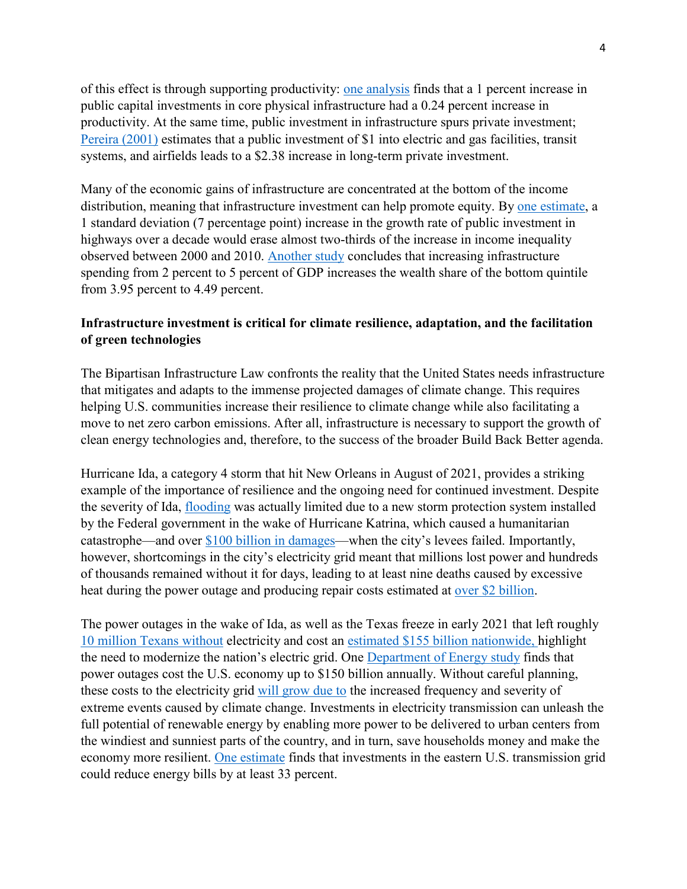of this effect is through supporting productivity: [one analysis](https://www.sciencedirect.com/science/article/abs/pii/0304393289900470) finds that a 1 percent increase in public capital investments in core physical infrastructure had a 0.24 percent increase in productivity. At the same time, public investment in infrastructure spurs private investment; [Pereira \(2001\)](https://journals.sagepub.com/doi/10.1177/109114210102900101) estimates that a public investment of \$1 into electric and gas facilities, transit systems, and airfields leads to a \$2.38 increase in long-term private investment.

Many of the economic gains of infrastructure are concentrated at the bottom of the income distribution, meaning that infrastructure investment can help promote equity. By [one estimate,](https://www.researchgate.net/publication/326151038_To_What_Extent_Can_Long-Term_Investments_in_Infrastructure_Reduce_InequalityTo_what_extent_can_long-term_investments_in_infrastructure_reduce_inequality) a 1 standard deviation (7 percentage point) increase in the growth rate of public investment in highways over a decade would erase almost two-thirds of the increase in income inequality observed between 2000 and 2010. [Another study](https://realestateresearch.frbatlanta.org/-/media/documents/news/conferences/2014/SIDE-workshop/papers/Gibson-Rioja.pdf) concludes that increasing infrastructure spending from 2 percent to 5 percent of GDP increases the wealth share of the bottom quintile from 3.95 percent to 4.49 percent.

## **Infrastructure investment is critical for climate resilience, adaptation, and the facilitation of green technologies**

The Bipartisan Infrastructure Law confronts the reality that the United States needs infrastructure that mitigates and adapts to the immense projected damages of climate change. This requires helping U.S. communities increase their resilience to climate change while also facilitating a move to net zero carbon emissions. After all, infrastructure is necessary to support the growth of clean energy technologies and, therefore, to the success of the broader Build Back Better agenda.

Hurricane Ida, a category 4 storm that hit New Orleans in August of 2021, provides a striking example of the importance of resilience and the ongoing need for continued investment. Despite the severity of Ida, [flooding](https://www.npr.org/2021/08/31/1032804634/new-orleans-levees-hurricane-ida-flooding) was actually limited due to a new storm protection system installed by the Federal government in the wake of Hurricane Katrina, which caused a humanitarian catastrophe—and over [\\$100 billion in damages—](https://www.weather.gov/mob/katrina)when the city's levees failed. Importantly, however, shortcomings in the city's electricity grid meant that millions lost power and hundreds of thousands remained without it for days, leading to at least nine deaths caused by excessive heat during the power outage and producing repair costs estimated at [over \\$2 billion.](https://www.independent.co.uk/climate-change/news/entergy-new-orleans-hurricane-ida-b1926486.html)

The power outages in the wake of Ida, as well as the Texas freeze in early 2021 that left roughly [10 million Texans without](https://www.sciencedirect.com/science/article/pii/S2214629621001997) electricity and cost an [estimated \\$155 billion nationwide,](https://www.accuweather.com/en/winter-weather/damages-from-feb-snowstorms-could-be-as-high-as-155b/909620) highlight the need to modernize the nation's electric grid. One [Department of Energy study](https://www.energy.gov/ne/articles/department-energy-report-explores-us-advanced-small-modular-reactors-boost-grid#:%7E:text=of%20Nuclear%20Energy-,Department%20of%20Energy%20Report%20Explores%20U.S.%20Advanced,Reactors%20to%20Boost%20Grid%20Resiliency&text=The%20U.S.%20Department%20of%20Energy,reinvested%20back%20into%20the%20economy) finds that power outages cost the U.S. economy up to \$150 billion annually. Without careful planning, these costs to the electricity grid [will grow due to](https://www.gao.gov/products/gao-21-346) the increased frequency and severity of extreme events caused by climate change. Investments in electricity transmission can unleash the full potential of renewable energy by enabling more power to be delivered to urban centers from the windiest and sunniest parts of the country, and in turn, save households money and make the economy more resilient. [One estimate](https://cleanenergygrid.org/wp-content/uploads/2020/11/Consumer-Employment-and-Environmental-Benefits-of-Transmission-Expansion-in-the-Eastern-U.S.pdf) finds that investments in the eastern U.S. transmission grid could reduce energy bills by at least 33 percent.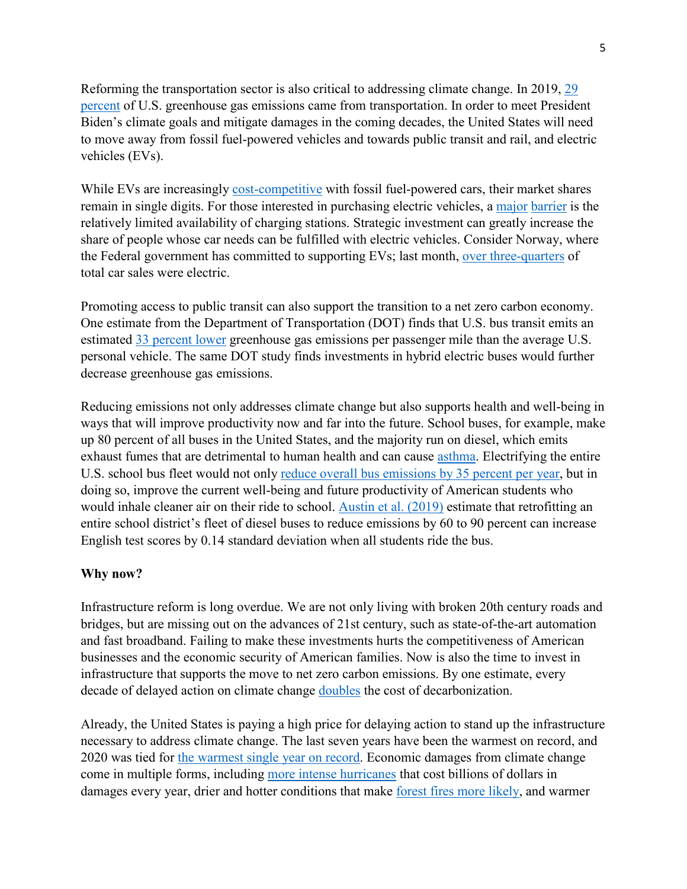Reforming the transportation sector is also critical to addressing climate change. In 2019, [29](https://www.epa.gov/ghgemissions/sources-greenhouse-gas-emissions)  [percent](https://www.epa.gov/ghgemissions/sources-greenhouse-gas-emissions) of U.S. greenhouse gas emissions came from transportation. In order to meet President Biden's climate goals and mitigate damages in the coming decades, the United States will need to move away from fossil fuel-powered vehicles and towards public transit and rail, and electric vehicles (EVs).

While EVs are increasingly [cost-competitive](https://environmenthalfcentury.princeton.edu/sites/g/files/toruqf331/files/2020-12/Princeton_NZA_Interim_Report_15_Dec_2020_FINAL.pdf) with fossil fuel-powered cars, their market shares remain in single digits. For those interested in purchasing electric vehicles, a [major](https://www.consumerreports.org/hybrids-evs/cr-survey-shows-strong-interest-in-evs-a1481807376/) [barrier](https://www.mckinsey.com/industries/automotive-and-assembly/our-insights/charging-ahead-electric-vehicle-infrastructure-demand) is the relatively limited availability of charging stations. Strategic investment can greatly increase the share of people whose car needs can be fulfilled with electric vehicles. Consider Norway, where the Federal government has committed to supporting EVs; last month, [over three-quarters](https://www.reuters.com/business/autos-transportation/tesla-pushes-norways-ev-sales-new-record-2021-10-01/) of total car sales were electric.

Promoting access to public transit can also support the transition to a net zero carbon economy. One estimate from the Department of Transportation (DOT) finds that U.S. bus transit emits an estimated [33 percent lower](https://www.transit.dot.gov/sites/fta.dot.gov/files/docs/PublicTransportationsRoleInRespondingToClimateChange2010.pdf) greenhouse gas emissions per passenger mile than the average U.S. personal vehicle. The same DOT study finds investments in hybrid electric buses would further decrease greenhouse gas emissions.

Reducing emissions not only addresses climate change but also supports health and well-being in ways that will improve productivity now and far into the future. School buses, for example, make up 80 percent of all buses in the United States, and the majority run on diesel, which emits exhaust fumes that are detrimental to human health and can cause [asthma.](https://www.sciencedirect.com/science/article/abs/pii/S0167629611000701) Electrifying the entire U.S. school bus fleet would not only [reduce overall bus emissions by 35](https://www.wri.org/initiatives/electric-school-bus-initiative) percent per year, but in doing so, improve the current well-being and future productivity of American students who would inhale cleaner air on their ride to school. [Austin et al. \(2019\)](https://www.nber.org/papers/w25641) estimate that retrofitting an entire school district's fleet of diesel buses to reduce emissions by 60 to 90 percent can increase English test scores by 0.14 standard deviation when all students ride the bus.

#### **Why now?**

Infrastructure reform is long overdue. We are not only living with broken 20th century roads and bridges, but are missing out on the advances of 21st century, such as state-of-the-art automation and fast broadband. Failing to make these investments hurts the competitiveness of American businesses and the economic security of American families. Now is also the time to invest in infrastructure that supports the move to net zero carbon emissions. By one estimate, every decade of delayed action on climate change [doubles](https://www.tandfonline.com/doi/abs/10.1080/14693062.2019.1615858?journalCode=tcpo20) the cost of decarbonization.

Already, the United States is paying a high price for delaying action to stand up the infrastructure necessary to address climate change. The last seven years have been the warmest on record, and 2020 was tied for [the warmest single year on record.](https://www.nasa.gov/press-release/2020-tied-for-warmest-year-on-record-nasa-analysis-shows) Economic damages from climate change come in multiple forms, including [more intense hurricanes](https://minerva-access.unimelb.edu.au/bitstream/handle/11343/192963/wires_review_revised%20July%2031%202015.pdf?sequence=1&isAllowed=y) that cost billions of dollars in damages every year, drier and hotter conditions that make [forest fires more likely,](https://www.nationalgeographic.com/science/article/climate-change-increases-risk-fires-western-us) and warmer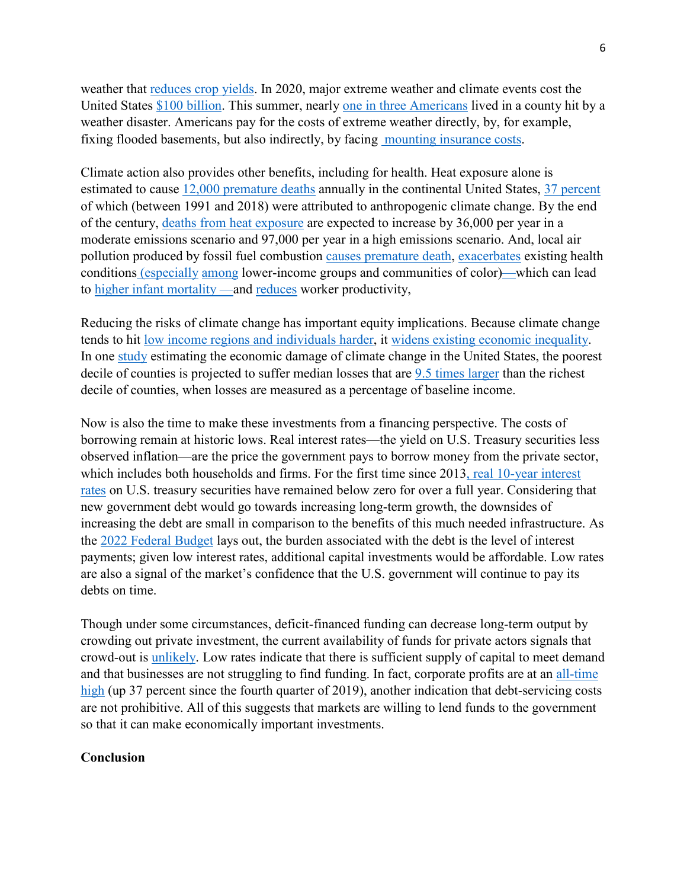weather that [reduces crop yields.](https://www.pnas.org/content/106/37/15594) In 2020, major extreme weather and climate events cost the United States [\\$100 billion.](https://www.ncdc.noaa.gov/billions/time-series) This summer, nearly one in [three Americans](https://www.washingtonpost.com/climate-environment/2021/09/04/climate-disaster-hurricane-ida/) lived in a county hit by a weather disaster. Americans pay for the costs of extreme weather directly, by, for example, fixing flooded basements, but also indirectly, by facing mounting [insurance costs.](https://www.mckinsey.com/industries/financial-services/our-insights/climate-change-and-p-and-c-insurance-the-threat-and-opportunity)

Climate action also provides other benefits, including for health. Heat exposure alone is estimated to cause [12,000 premature deaths](https://agupubs.onlinelibrary.wiley.com/doi/full/10.1029/2019GH000234) annually in the continental United States, 37 [percent](https://www.nature.com/articles/s41558-021-01058-x) of which (between 1991 and 2018) were attributed to anthropogenic climate change. By the end of the century, [deaths from heat exposure](https://agupubs.onlinelibrary.wiley.com/doi/full/10.1029/2019GH000234) are expected to increase by 36,000 per year in a moderate emissions scenario and 97,000 per year in a high emissions scenario. And, local air pollution produced by fossil fuel combustion [causes premature death,](https://www.lancetcountdownus.org/2020-lancet-countdown-u-s-brief/) [exacerbates](http://ugspace.ug.edu.gh/bitstream/handle/123456789/31420/The%20Lancet%20Commission%20on%20pollution%20and%20health.pdf?sequence=1) existing health conditions [\(especially](https://www.aeaweb.org/articles?id=10.1257/jep.33.4.3) [among](https://pubs.aeaweb.org/doi/pdfplus/10.1257/jep.33.1.185) lower-income groups and communities of color)—which can lead to [higher infant mortality](https://www.jstor.org/stable/25053932?seq=1) —and [reduces](https://www.aeaweb.org/articles?id=10.1257/aer.102.7.3652) worker productivity,

Reducing the risks of climate change has important equity implications. Because climate change tends to hit [low income regions and individuals harder,](https://www.journals.uchicago.edu/doi/10.1093/reep/rey024) it widens [existing economic inequality.](https://budget.house.gov/sites/democrats.budget.house.gov/files/documents/House_Testimony_Hsiang_6_10_19_final.pdf) In one [study](https://www.science.org/doi/epdf/10.1126/science.aal4369) estimating the economic damage of climate change in the United States, the poorest decile of counties is projected to suffer median losses that are [9.5 times larger](https://budget.house.gov/sites/democrats.budget.house.gov/files/documents/House_Testimony_Hsiang_6_10_19_final.pdf) than the richest decile of counties, when losses are measured as a percentage of baseline income.

Now is also the time to make these investments from a financing perspective. The costs of borrowing remain at historic lows. Real interest rates—the yield on U.S. Treasury securities less observed inflation—are the price the government pays to borrow money from the private sector, which includes both households and firms. For the first time since 2013, real 10-year interest [rates](https://fred.stlouisfed.org/series/DFII10) on U.S. treasury securities have remained below zero for over a full year. Considering that new government debt would go towards increasing long-term growth, the downsides of increasing the debt are small in comparison to the benefits of this much needed infrastructure. As the [2022 Federal Budget](https://www.whitehouse.gov/wp-content/uploads/2021/05/budget_fy22.pdf) lays out, the burden associated with the debt is the level of interest payments; given low interest rates, additional capital investments would be affordable. Low rates are also a signal of the market's confidence that the U.S. government will continue to pay its debts on time.

Though under some circumstances, deficit-financed funding can decrease long-term output by crowding out private investment, the current availability of funds for private actors signals that crowd-out is [unlikely.](https://www.cbo.gov/publication/57038#:%7E:text=Over%20the%20next%20few%20years%2C%20that%20crowding%20out%20of%20private%20investment%20would%20be%20much%20smaller%20than%20it%20would%20be%20otherwise%20because%20economic%20conditions%20brought%20about%20by%20the%20pandemic%20will%20cause%20short-term%20interest%20rates%20to%20remain%20near%20zero%2C%20CBO%20projects.) Low rates indicate that there is sufficient supply of capital to meet demand and that businesses are not struggling to find funding. In fact, corporate profits are at an [all-time](https://fred.stlouisfed.org/series/CP)  [high](https://fred.stlouisfed.org/series/CP) (up 37 percent since the fourth quarter of 2019), another indication that debt-servicing costs are not prohibitive. All of this suggests that markets are willing to lend funds to the government so that it can make economically important investments.

#### **Conclusion**